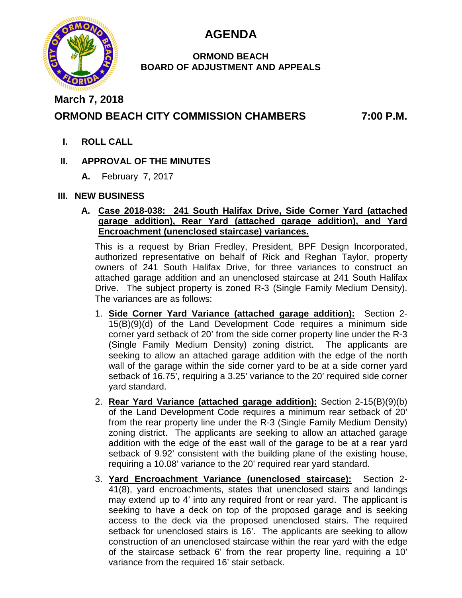

# **AGENDA**

### **ORMOND BEACH BOARD OF ADJUSTMENT AND APPEALS**

**March 7, 2018**

# **ORMOND BEACH CITY COMMISSION CHAMBERS 7:00 P.M.**

**I. ROLL CALL**

# **II. APPROVAL OF THE MINUTES**

**A.** February 7, 2017

## **III. NEW BUSINESS**

### **A. Case 2018-038: 241 South Halifax Drive, Side Corner Yard (attached garage addition), Rear Yard (attached garage addition), and Yard Encroachment (unenclosed staircase) variances.**

This is a request by Brian Fredley, President, BPF Design Incorporated, authorized representative on behalf of Rick and Reghan Taylor, property owners of 241 South Halifax Drive, for three variances to construct an attached garage addition and an unenclosed staircase at 241 South Halifax Drive. The subject property is zoned R-3 (Single Family Medium Density). The variances are as follows:

- 1. **Side Corner Yard Variance (attached garage addition):** Section 2- 15(B)(9)(d) of the Land Development Code requires a minimum side corner yard setback of 20' from the side corner property line under the R-3 (Single Family Medium Density) zoning district. The applicants are seeking to allow an attached garage addition with the edge of the north wall of the garage within the side corner yard to be at a side corner yard setback of 16.75', requiring a 3.25' variance to the 20' required side corner yard standard.
- 2. **Rear Yard Variance (attached garage addition):** Section 2-15(B)(9)(b) of the Land Development Code requires a minimum rear setback of 20' from the rear property line under the R-3 (Single Family Medium Density) zoning district. The applicants are seeking to allow an attached garage addition with the edge of the east wall of the garage to be at a rear yard setback of 9.92' consistent with the building plane of the existing house, requiring a 10.08' variance to the 20' required rear yard standard.
- 3. **Yard Encroachment Variance (unenclosed staircase):** Section 2- 41(8), yard encroachments, states that unenclosed stairs and landings may extend up to 4' into any required front or rear yard. The applicant is seeking to have a deck on top of the proposed garage and is seeking access to the deck via the proposed unenclosed stairs. The required setback for unenclosed stairs is 16'. The applicants are seeking to allow construction of an unenclosed staircase within the rear yard with the edge of the staircase setback 6' from the rear property line, requiring a 10' variance from the required 16' stair setback.